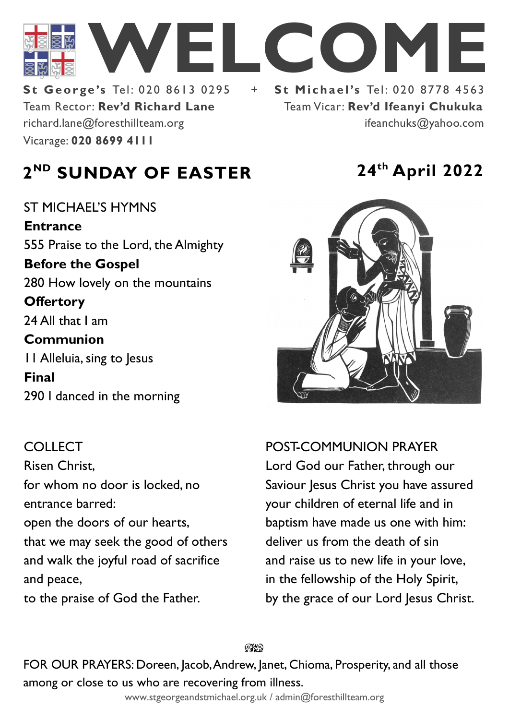

Team Rector: **Rev'd Richard Lane St George's Tel: 020 8613 0295** Vicarage: **020 8699 4111**  richard.lane@foresthillteam.org ifeanchuks@yahoo.com

Team Vicar: **Rev'd Ifeanyi Chukuka**

# **2 ND SUNDAY OF EASTER 24th April 2022**

ST MICHAEL'S HYMNS **Entrance** 555 Praise to the Lord, the Almighty **Before the Gospel**  280 How lovely on the mountains **Offertory**  24 All that I am **Communion**  11 Alleluia, sing to Jesus **Final**  290 I danced in the morning

#### COLLECT

Risen Christ, for whom no door is locked, no entrance barred: open the doors of our hearts, that we may seek the good of others and walk the joyful road of sacrifice and peace, to the praise of God the Father.



POST-COMMUNION PRAYER Lord God our Father, through our Saviour Jesus Christ you have assured your children of eternal life and in baptism have made us one with him: deliver us from the death of sin and raise us to new life in your love, in the fellowship of the Holy Spirit, by the grace of our Lord Jesus Christ.

೧೪೧

FOR OUR PRAYERS: Doreen, Jacob, Andrew, Janet, Chioma, Prosperity, and all those among or close to us who are recovering from illness.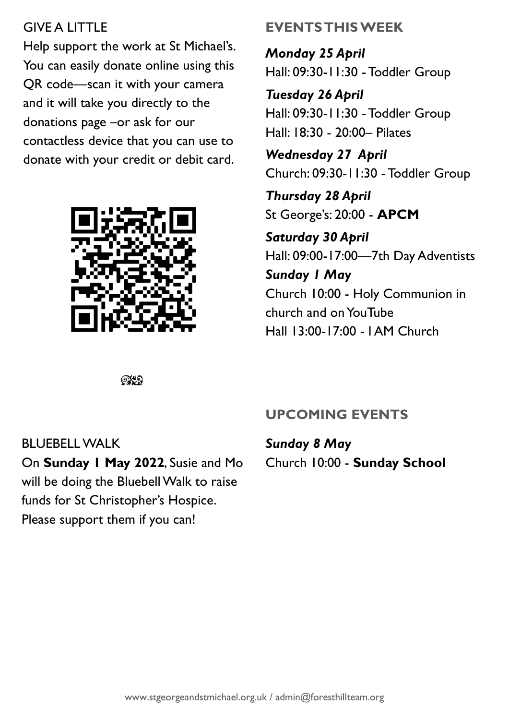## GIVE A LITTLE

Help support the work at St Michael's. You can easily donate online using this QR code—scan it with your camera and it will take you directly to the donations page –or ask for our contactless device that you can use to donate with your credit or debit card.



# **EVENTS THIS WEEK**

*Monday 25 April* Hall: 09:30-11:30 -Toddler Group

*Tuesday 26 April* Hall: 09:30-11:30 - Toddler Group Hall: 18:30 - 20:00– Pilates

*Wednesday 27 April* Church: 09:30-11:30 -Toddler Group

*Thursday 28 April* St George's: 20:00 - **APCM**

*Saturday 30 April* Hall: 09:00-17:00—7th Day Adventists *Sunday 1 May* Church 10:00 - Holy Communion in church and on YouTube Hall 13:00-17:00 - I AM Church

 $@$ 

## **UPCOMING EVENTS**

BLUEBELL WALK On **Sunday 1 May 2022**, Susie and Mo will be doing the Bluebell Walk to raise funds for St Christopher's Hospice. Please support them if you can!

*Sunday 8 May* Church 10:00 - **Sunday School**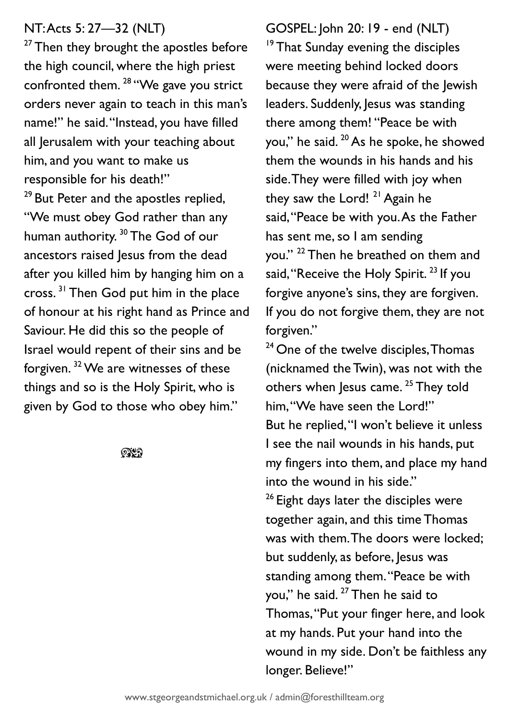#### NT: Acts 5: 27—32 (NLT)

<sup>27</sup> Then they brought the apostles before the high council, where the high priest confronted them.<sup>28</sup> "We gave you strict orders never again to teach in this man's name!" he said. "Instead, you have filled all Jerusalem with your teaching about him, and you want to make us responsible for his death!" <sup>29</sup> But Peter and the apostles replied, "We must obey God rather than any human authority.<sup>30</sup> The God of our ancestors raised Jesus from the dead after you killed him by hanging him on a cross. <sup>31</sup> Then God put him in the place of honour at his right hand as Prince and Saviour. He did this so the people of Israel would repent of their sins and be forgiven. <sup>32</sup>We are witnesses of these things and so is the Holy Spirit, who is given by God to those who obey him."

 $932$ 

GOSPEL: John 20: 19 - end (NLT) <sup>19</sup> That Sunday evening the disciples were meeting behind locked doors because they were afraid of the Jewish leaders. Suddenly, Jesus was standing there among them! "Peace be with you," he said. <sup>20</sup> As he spoke, he showed them the wounds in his hands and his side. They were filled with joy when they saw the Lord!  $21$  Again he said,"Peace be with you. As the Father has sent me, so I am sending you." <sup>22</sup> Then he breathed on them and said, "Receive the Holy Spirit.<sup>23</sup> If you forgive anyone's sins, they are forgiven. If you do not forgive them, they are not forgiven."

<sup>24</sup> One of the twelve disciples, Thomas (nicknamed the Twin), was not with the others when Jesus came. <sup>25</sup> They told him, "We have seen the Lord!" But he replied, "I won't believe it unless I see the nail wounds in his hands, put my fingers into them, and place my hand into the wound in his side." <sup>26</sup> Eight days later the disciples were together again, and this time Thomas was with them. The doors were locked; but suddenly, as before, Jesus was standing among them."Peace be with you," he said. <sup>27</sup> Then he said to Thomas,"Put your finger here, and look at my hands. Put your hand into the wound in my side. Don't be faithless any longer. Believe!"